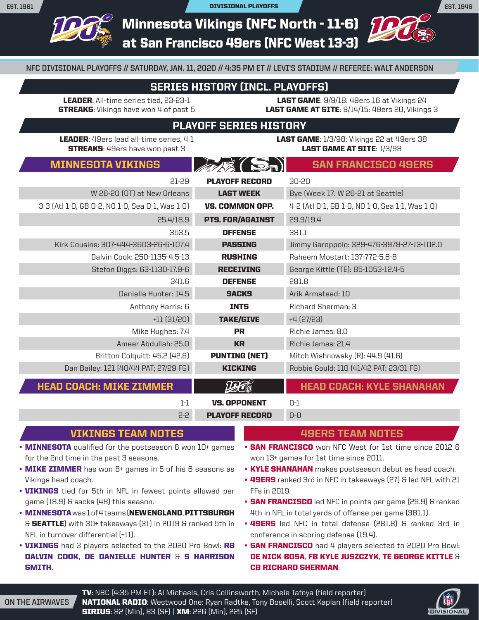Minnesota Vikings (NFC North - 11-6)

at San Francisco 49ers (NFC West 13-3)

**NFC DIVISIONAL PLAYOFFS // SATURDAY, JAN. 11, 2020 // 4:35 PM ET // LEVI'S STADIUM // REFEREE: WALT ANDERSON**

## SERIES HISTORY (INCL. PLAYOFFS)

LEADER: All-time series tied, 23-23-1 **STREAKS:** Vikings have won 4 of past 5

LAST GAME: 9/9/18: 49ers 16 at Vikings 24 LAST GAME AT SITE: 9/14/15: 49ers 20, Vikings 3

## PLAYOFF SERIES HISTORY

LEADER: 49ers lead all-time series, 4-1 **STREAKS:** 49ers have won past 3

**LAST GAME:** 1/3/98: Vikings 22 at 49ers 38 LAST GAME AT SITE:  $1/3/98$ 

## MINNESOTA VIKINGS AN SAN FRANCISCO 49ERS

|                                                 | $\mathbb{Z}$            |                                                 |
|-------------------------------------------------|-------------------------|-------------------------------------------------|
| $21 - 29$                                       | <b>PLAYOFF RECORD</b>   | 30-20                                           |
| W 26-20 (OT) at New Orleans                     | <b>LAST WEEK</b>        | Bye (Week 17: W 26-21 at Seattle)               |
| 3-3 (Atl 1-0, GB 0-2, NO 1-0, Sea 0-1, Was 1-0) | VS. COMMON OPP.         | 4-2 (Atl 0-1, GB 1-0, NO 1-0, Sea 1-1, Was 1-0) |
| 25.4/18.9                                       | <b>PTS. FOR/AGAINST</b> | 29.9/19.4                                       |
| 353.5                                           | <b>OFFENSE</b>          | 381.1                                           |
| Kirk Cousins: 307-444-3603-26-6-107.4           | <b>PASSING</b>          | Jimmy Garoppolo: 329-476-3978-27-13-102.0       |
| Dalvin Cook: 250-1135-4.5-13                    | <b>RUSHING</b>          | Raheem Mostert: 137-772-5.6-8                   |
| Stefon Diggs: 63-1130-17.9-6                    | <b>RECEIVING</b>        | George Kittle (TE): 85-1053-12.4-5              |
| 341.6                                           | <b>DEFENSE</b>          | 281.8                                           |
| Danielle Hunter: 14.5                           | <b>SACKS</b>            | Arik Armstead: 10                               |
| Anthony Harris: 6                               | <b>INTS</b>             | <b>Richard Sherman: 3</b>                       |
| $+11(31/20)$                                    | <b>TAKE/GIVE</b>        | +4 (27/23)                                      |
| Mike Hughes: 7.4                                | <b>PR</b>               | Richie James: 8.0                               |
| Ameer Abdullah: 25.0                            | <b>KR</b>               | Richie James: 21.4                              |
| Britton Colquitt: 45.2 (42.6)                   | <b>PUNTING (NET)</b>    | Mitch Wishnowsky (R): 44.9 (41.6)               |
| Dan Bailey: 121 (40/44 PAT; 27/29 FG)           | <b>KICKING</b>          | Robbie Gould: 110 (41/42 PAT; 23/31 FG)         |
| <b>HEAD COACH: MIKE ZIMMER</b>                  |                         | <b>HEAD COACH: KYLE SHANAHAN</b>                |
| $1-1$                                           | <b>VS. OPPONENT</b>     | $0-1$                                           |
| 2-2                                             | <b>PLAYOFF RECORD</b>   | $0 - 0$                                         |

# VIKINGS TEAM NOTES

- **MINNESOTA** qualified for the postseason & won 10+ games for the 2nd time in the past 3 seasons.
- MIKE ZIMMER has won 8+ games in 5 of his 6 seasons as Vikings head coach.
- **VIKINGS** tied for 5th in NFL in fewest points allowed per game (18.9) & sacks (48) this season.
- MINNESOTA was lof4 teams (NEW ENGLAND, PITTSBURGH & SEATTLE) with 30+ takeaways (31) in 2019 & ranked 5th in NFL in turnover differential (+11).
- **VIKINGS** had 3 players selected to the 2020 Pro Bowl: RB DALVIN COOK, DE DANIELLE HUNTER & S HARRISON SMITH.

#### 49ERS TEAM NOTES

- SAN FRANCISCO won NFC West for 1st time since 2012 & won 13+ games for 1st time since 2011.
- KYLE SHANAHAN makes postseason debut as head coach.
- **49ERS** ranked 3rd in NFC in takeaways (27) & led NFL with 21 FFs in 2019.
- **SAN FRANCISCO** led NFC in points per game (29.9) & ranked 4th in NFL in total yards of offense per game (381.1).
- **49ERS** led NFC in total defense (281.8) & ranked 3rd in conference in scoring defense (19.4).
- **SAN FRANCISCO** had 4 players selected to 2020 Pro Bowl: DE NICK BOSA, FB KYLE JUSZCZYK, TE GEORGE KITTLE & CB RICHARD SHERMAN.



**EST. 1946**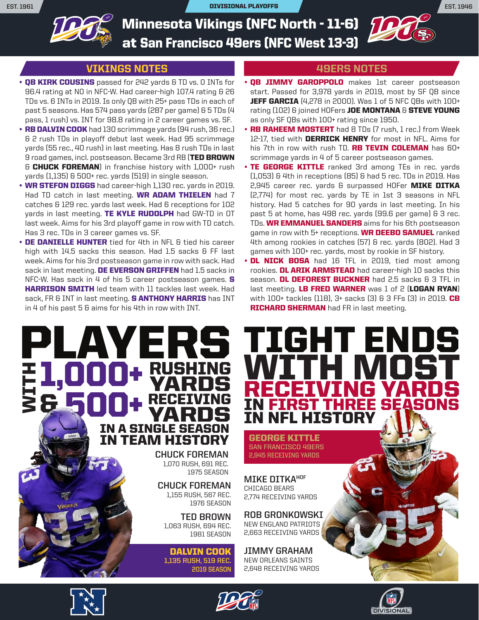**EST. 1961** DIVISIONAL PLAYOFFS **EST. 1946**



Minnesota Vikings (NFC North - 11-6) at San Francisco 49ers (NFC West 13-3)

### VIKINGS NOTES

- QB KIRK COUSINS passed for 242 yards & TD vs. 0 INTs for 96.4 rating at NO in NFC-W. Had career-high 107.4 rating & 26 TDs vs. 6 INTs in 2019. Is only QB with 25+ pass TDs in each of past 5 seasons. Has 574 pass yards (287 per game) & 5 TDs (4 pass, 1 rush) vs. INT for 98.8 rating in 2 career games vs. SF.
- RB DALVIN COOK had 130 scrimmage yards (94 rush, 36 rec.) & 2 rush TDs in playoff debut last week. Had 95 scrimmage yards (55 rec., 40 rush) in last meeting. Has 8 rush TDs in last 9 road games, incl. postseason. Became 3rd RB (TED BROWN & CHUCK FOREMAN) in franchise history with 1,000+ rush yards (1,135) & 500+ rec. yards (519) in single season.
- **WR STEFON DIGGS** had career-high 1,130 rec. yards in 2019. Had TD catch in last meeting. WR ADAM THIELEN had 7 catches & 129 rec. yards last week. Had 6 receptions for 102 yards in last meeting. TE KYLE RUDOLPH had GW-TD in OT last week. Aims for his 3rd playoff game in row with TD catch. Has 3 rec. TDs in 3 career games vs. SF.
- DE DANIELLE HUNTER tied for 4th in NFL & tied his career high with 14.5 sacks this season. Had 1.5 sacks & FF last week. Aims for his 3rd postseason game in row with sack. Had sack in last meeting. DE EVERSON GRIFFEN had 1.5 sacks in NFC-W. Has sack in 4 of his 5 career postseason games. S **HARRISON SMITH** led team with 11 tackles last week. Had sack, FR & INT in last meeting. **S ANTHONY HARRIS** has INT in 4 of his past 5 & aims for his 4th in row with INT.

IN A SINGLE SEASON

IN TEAM HISTORY

**YARDS** 

**CHUCK FOREMAN** 1,070 RUSH, 691 REC. 1975 SEASON

**CHUCK FOREMAN** 1,155 RUSH, 567 REC. 1976 SEASON **TED BROWN** 1,063 RUSH, 694 REC. 1981 SEASON

**EIVING** 

#### 49ERS NOTES

WK

- QB JIMMY GAROPPOLO makes 1st career postseason start. Passed for 3,978 yards in 2019, most by SF QB since **JEFF GARCIA** (4,278 in 2000). Was 1 of 5 NFC OBs with 100+ rating (102) & joined HOFers JOE MONTANA & STEVE YOUNG as only SF QBs with 100+ rating since 1950.
- RB RAHEEM MOSTERT had 8 TDs (7 rush, 1 rec.) from Week 12-17, tied with **DERRICK HENRY** for most in NFL. Aims for his 7th in row with rush TD. **RB TEVIN COLEMAN** has 60+ scrimmage yards in 4 of 5 career postseason games.
- TE GEORGE KITTLE ranked 3rd among TEs in rec. yards (1,053) & 4th in receptions (85) & had 5 rec. TDs in 2019. Has 2,945 career rec. yards & surpassed HOFer MIKE DITKA (2,774) for most rec. yards by TE in 1st 3 seasons in NFL history. Had 5 catches for 90 yards in last meeting. In his past 5 at home, has 498 rec. yards (99.6 per game) & 3 rec. TDs. WR EMMANUEL SANDERS aims for his 6th postseason game in row with 5+ receptions. WR DEEBO SAMUEL ranked 4th among rookies in catches (57) & rec. yards (802). Had 3 games with 100+ rec. yards, most by rookie in SF history.
- DL NICK BOSA had 16 TFL in 2019, tied most among rookies. DL ARIK ARMSTEAD had career-high 10 sacks this season. **DL DEFOREST BUCKNER** had 2.5 sacks & 3 TFL in last meeting. LB FRED WARNER was 1 of 2 (LOGAN RYAN) with  $100+$  tackles (118),  $3+$  sacks (3) & 3 FFs (3) in 2019. CB **RICHARD SHERMAN** had FR in last meeting.

IN FIRST THREE SEASONS

RECEIVING YARDS

GEORGE KITTLE **SAN FRANCISCO 49ERS 2,945 RECEIVING YARDS**

IN NFL HISTORY

**MIKE DITKAHOF** CHICAGO BEARS 2,774 RECEIVING YARDS

**ROB GRONKOWSKI** NEW ENGLAND PATRIOTS 2,663 RECEIVING YARDS

**JIMMY GRAHAM** NEW ORLEANS SAINTS 2,648 RECEIVING YARDS



& WITH



DALVIN COOK **1,135 RUSH, 519 REC.**

**2019 SEASON**

PLAYERS TIGHT ENDS

1,000+ RUSHING WITH MOST

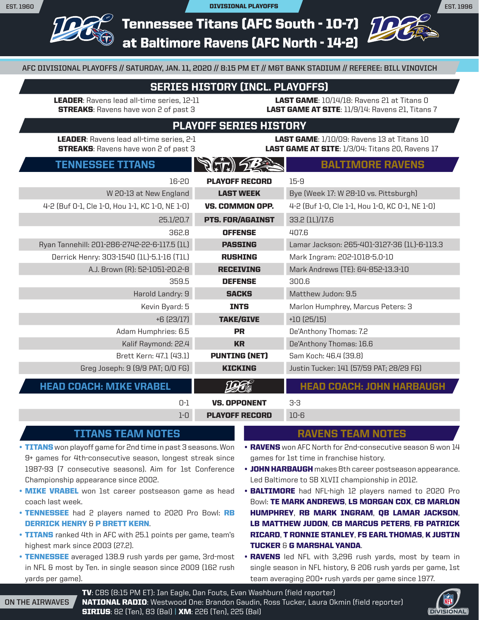**EST. 1996**

Tennessee Titans (AFC South - 10-7) at Baltimore Ravens (AFC North - 14-2)

**AFC DIVISIONAL PLAYOFFS // SATURDAY, JAN. 11, 2020 // 8:15 PM ET // M&T BANK STADIUM // REFEREE: BILL VINOVICH**

## SERIES HISTORY (INCL. PLAYOFFS)

LEADER: Ravens lead all-time series, 12-11 **STREAKS:** Ravens have won 2 of past 3

LAST GAME: 10/14/18: Ravens 21 at Titans 0 LAST GAME AT SITE: 11/9/14: Ravens 21, Titans 7

## PLAYOFF SERIES HISTORY

LEADER: Ravens lead all-time series, 2-1 **STREAKS:** Ravens have won 2 of past 3

LAST GAME: 1/10/09: Ravens 13 at Titans 10 LAST GAME AT SITE: 1/3/04: Titans 20. Ravens 17

## TENNESSEE TITANS  $\left|\left|\left|\left|\left|\left|\left|\right|\right|\right|\right|\right|\right|$

|                                                 | $\mathbf{r}$ if $\mathbf{r}$ is $\mathbf{r}$ |                                                 |
|-------------------------------------------------|----------------------------------------------|-------------------------------------------------|
| 16-20                                           | <b>PLAYOFF RECORD</b>                        | $15 - 9$                                        |
| W 20-13 at New England                          | <b>LAST WEEK</b>                             | Bye (Week 17: W 28-10 vs. Pittsburgh)           |
| 4-2 (Buf 0-1, Cle 1-0, Hou 1-1, KC 1-0, NE 1-0) | VS. COMMON OPP.                              | 4-2 (Buf 1-0, Cle 1-1, Hou 1-0, KC 0-1, NE 1-0) |
| 25.1/20.7                                       | <b>PTS. FOR/AGAINST</b>                      | 33.2 (1L)/17.6                                  |
| 362.8                                           | <b>OFFENSE</b>                               | 407.6                                           |
| Ryan Tannehill: 201-286-2742-22-6-117.5 (1L)    | <b>PASSING</b>                               | Lamar Jackson: 265-401-3127-36 (1L)-6-113.3     |
| Derrick Henry: 303-1540 (1L)-5.1-16 (T1L)       | <b>RUSHING</b>                               | Mark Ingram: 202-1018-5.0-10                    |
| A.J. Brown (R): 52-1051-20.2-8                  | <b>RECEIVING</b>                             | Mark Andrews (TE): 64-852-13.3-10               |
| 359.5                                           | <b>DEFENSE</b>                               | 300.6                                           |
| Harold Landry: 9                                | <b>SACKS</b>                                 | Matthew Judon: 9.5                              |
| Kevin Byard: 5                                  | <b>INTS</b>                                  | Marlon Humphrey, Marcus Peters: 3               |
| $+6(23/17)$                                     | <b>TAKE/GIVE</b>                             | $+10(25/15)$                                    |
| Adam Humphries: 6.5                             | <b>PR</b>                                    | De'Anthony Thomas: 7.2                          |
| Kalif Raymond: 22.4                             | <b>KR</b>                                    | De'Anthony Thomas: 16.6                         |
| Brett Kern: 47.1 (43.1)                         | <b>PUNTING (NET)</b>                         | Sam Koch: 46.4 (39.8)                           |
| Greg Joseph: 9 (9/9 PAT; 0/0 FG)                | <b>KICKING</b>                               | Justin Tucker: 141 (57/59 PAT; 28/29 FG)        |
| <b>HEAD COACH: MIKE VRABEL</b>                  |                                              | <b>HEAD COACH: JOHN HARBAUGH</b>                |
| $0-1$                                           | <b>VS. OPPONENT</b>                          | $3-3$                                           |
| $1-0$                                           | <b>PLAYOFF RECORD</b>                        | $10 - 6$                                        |

### TITANS TEAM NOTES

- TITANS won playoff game for 2nd time in past 3 seasons. Won 9+ games for 4th-consecutive season, longest streak since 1987-93 (7 consecutive seasons). Aim for 1st Conference Championship appearance since 2002.
- MIKE VRABEL won 1st career postseason game as head coach last week.
- TENNESSEE had 2 players named to 2020 Pro Bowl: RB DERRICK HENRY & P BRETT KERN.
- TITANS ranked 4th in AFC with 25.1 points per game, team's highest mark since 2003 (27.2).
- TENNESSEE averaged 138.9 rush yards per game, 3rd-most in NFL & most by Ten. in single season since 2009 (162 rush yards per game).

#### RAVENS TEAM NOTES

- RAVENS won AFC North for 2nd-consecutive season & won 14 games for 1st time in franchise history.
- JOHN HARBAUGH makes 8th career postseason appearance. Led Baltimore to SB XLVII championship in 2012.
- BALTIMORE had NFL-high 12 players named to 2020 Pro Bowl: TE MARK ANDREWS, LS MORGAN COX, CB MARLON HUMPHREY, RB MARK INGRAM, QB LAMAR JACKSON, LB MATTHEW JUDON, CB MARCUS PETERS, FB PATRICK RICARD, T RONNIE STANLEY, FS EARL THOMAS, K JUSTIN TUCKER & G MARSHAL YANDA.
- RAVENS led NFL with 3,296 rush yards, most by team in single season in NFL history, & 206 rush yards per game, 1st team averaging 200+ rush yards per game since 1977.

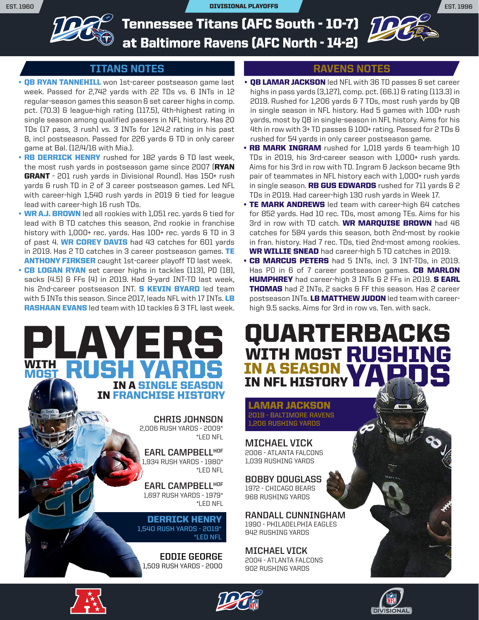**EST. 1960** DIVISIONAL PLAYOFFS **EST. 1996**



Tennessee Titans (AFC South - 10-7) at Baltimore Ravens (AFC North - 14-2)

### TITANS NOTES

- **QB RYAN TANNEHILL** won 1st-career postseason game last week. Passed for 2,742 yards with 22 TDs vs. 6 INTs in 12 regular-season games this season & set career highs in comp. pct. (70.3) & league-high rating (117.5), 4th-highest rating in single season among qualified passers in NFL history. Has 20 TDs (17 pass, 3 rush) vs. 3 INTs for 124.2 rating in his past 8, incl postseason. Passed for 226 yards & TD in only career game at Bal. (12/4/16 with Mia.).
- RB DERRICK HENRY rushed for 182 yards & TD last week, the most rush yards in postseason game since 2007 (RYAN GRANT - 201 rush yards in Divisional Round). Has 150+ rush yards & rush TD in 2 of 3 career postseason games. Led NFL with career-high 1,540 rush yards in 2019 & tied for league lead with career-high 16 rush TDs.
- WR A.J. BROWN led all rookies with 1,051 rec. yards & tied for lead with 8 TD catches this season, 2nd rookie in franchise history with 1,000+ rec. yards. Has 100+ rec. yards & TD in 3 of past 4. WR COREY DAVIS had 43 catches for 601 yards in 2019. Has 2 TD catches in 3 career postseason games. TE **ANTHONY FIRKSER** caught 1st-career playoff TD last week.
- CB LOGAN RYAN set career highs in tackles (113), PD (18), sacks (4.5) & FFs (4) in 2019. Had 9-yard INT-TD last week, his 2nd-career postseason INT. **S KEVIN BYARD** led team with 5 INTs this season. Since 2017, leads NFL with 17 INTs. LB **RASHAAN EVANS** led team with 10 tackles & 3 TFL last week.



**CHRIS JOHNSON** 2,006 RUSH YARDS - 2009\* \*LED NFL

**EARL CAMPBELLHOF** 1,934 RUSH YARDS - 1980\* \*LED NFL

**EARL CAMPBELLHOF** 1,697 RUSH YARDS - 1979\* \*LED NFL

DERRICK HENRY **1,540 RUSH YARDS - 2019\* \*LED NFL**

**EDDIE GEORGE** 1,509 RUSH YARDS - 2000

### RAVENS NOTES

 $D\!K$ 

- QB LAMAR JACKSON led NFL with 36 TD passes & set career highs in pass yards (3,127), comp. pct. (66.1) & rating (113.3) in 2019. Rushed for 1,206 yards & 7 TDs, most rush yards by QB in single season in NFL history. Had 5 games with 100+ rush yards, most by QB in single-season in NFL history. Aims for his 4th in row with 3+ TD passes & 100+ rating. Passed for 2 TDs & rushed for 54 yards in only career postseason game.
- RB MARK INGRAM rushed for 1,018 yards & team-high 10 TDs in 2019, his 3rd-career season with 1,000+ rush yards. Aims for his 3rd in row with TD. Ingram & Jackson became 9th pair of teammates in NFL history each with 1,000+ rush yards in single season. **RB GUS EDWARDS** rushed for 711 yards  $62$ TDs in 2019. Had career-high 130 rush yards in Week 17.
- TE MARK ANDREWS led team with career-high 64 catches for 852 yards. Had 10 rec. TDs, most among TEs. Aims for his 3rd in row with TD catch. WR MARQUISE BROWN had 46 catches for 584 yards this season, both 2nd-most by rookie in fran. history. Had 7 rec. TDs, tied 2nd-most among rookies. WR WILLIE SNEAD had career-high 5 TD catches in 2019.
- CB MARCUS PETERS had 5 INTs, incl. 3 INT-TDs, in 2019. Has PD in 6 of 7 career postseason games. CB MARLON HUMPHREY had career-high 3 INTs & 2 FFs in 2019. S EARL **THOMAS** had 2 INTs, 2 sacks & FF this season. Has 2 career postseason INTs. LB MATTHEW JUDON led team with careerhigh 9.5 sacks. Aims for 3rd in row vs. Ten. with sack.

## QUARTERBACKS IN A SEASON **IN NFL HISTOR MOST RUSHING** YAPDS WITH

LAMAR JACKSON **2019 - BALTIMORE RAVENS 1,206 RUSHING YARDS**

**MICHAEL VICK** 2006 - ATLANTA FALCONS 1,039 RUSHING YARDS

**BOBBY DOUGLASS** 1972 - CHICAGO BEARS 968 RUSHING YARDS

**RANDALL CUNNINGHAM** 1990 - PHILADELPHIA EAGLES 942 RUSHING YARDS

**MICHAEL VICK** 2004 - ATLANTA FALCONS 902 RUSHING YARDS







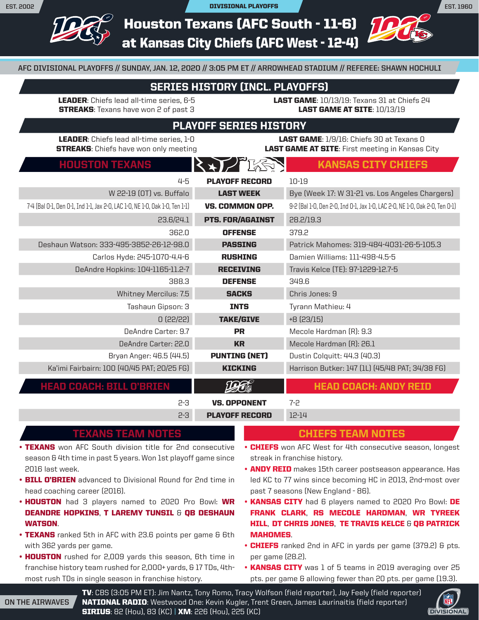**EST. 1960**

Houston Texans (AFC South - 11-6) at Kansas City Chiefs (AFC West - 12-4)

**AFC DIVISIONAL PLAYOFFS // SUNDAY, JAN. 12, 2020 // 3:05 PM ET // ARROWHEAD STADIUM // REFEREE: SHAWN HOCHULI**

## SERIES HISTORY (INCL. PLAYOFFS)

LEADER: Chiefs lead all-time series, 6-5 **STREAKS:** Texans have won 2 of past 3

**LAST GAME:** 10/13/19: Texans 31 at Chiefs 24 LAST GAME AT SITE: 10/13/19

## PLAYOFF SERIES HISTORY

LEADER: Chiefs lead all-time series, 1-0 **STREAKS:** Chiefs have won only meeting

LAST GAME: 1/9/16: Chiefs 30 at Texans 0 **LAST GAME AT SITE:** First meeting in Kansas City

HOUSTON TEXANS  $\{X,Y\}^{\infty}$  is the KANSAS city chiefs

| 4-5                                                                         | <b>PLAYOFF RECORD</b>   | $10 - 19$                                                                   |
|-----------------------------------------------------------------------------|-------------------------|-----------------------------------------------------------------------------|
| W 22-19 (OT) vs. Buffalo                                                    | <b>LAST WEEK</b>        | Bye (Week 17: W 31-21 vs. Los Angeles Chargers)                             |
| 7-4 (Bal O-1, Den O-1, Ind 1-1, Jax 2-0, LAC 1-0, NE 1-0, Oak 1-0, Ten 1-1) | VS. COMMON OPP.         | 9-2 (Bal 1-0, Den 2-0, Ind 0-1, Jax 1-0, LAC 2-0, NE 1-0, Oak 2-0, Ten 0-1) |
| 23.6/24.1                                                                   | <b>PTS. FOR/AGAINST</b> | 28.2/19.3                                                                   |
| 362.0                                                                       | <b>OFFENSE</b>          | 379.2                                                                       |
| Deshaun Watson: 333-495-3852-26-12-98.0                                     | <b>PASSING</b>          | Patrick Mahomes: 319-484-4031-26-5-105.3                                    |
| Carlos Hyde: 245-1070-4.4-6                                                 | <b>RUSHING</b>          | Damien Williams: 111-498-4.5-5                                              |
| DeAndre Hopkins: 104-1165-11.2-7                                            | <b>RECEIVING</b>        | Travis Kelce (TE): 97-1229-12.7-5                                           |
| 388.3                                                                       | <b>DEFENSE</b>          | 349.6                                                                       |
| Whitney Mercilus: 7.5                                                       | <b>SACKS</b>            | Chris Jones: 9                                                              |
| Tashaun Gipson: 3                                                           | <b>INTS</b>             | Tyrann Mathieu: 4                                                           |
| 0(22/22)                                                                    | <b>TAKE/GIVE</b>        | $+8(23/15)$                                                                 |
| DeAndre Carter: 9.7                                                         | <b>PR</b>               | Mecole Hardman (R): 9.3                                                     |
| DeAndre Carter: 22.0                                                        | <b>KR</b>               | Mecole Hardman (R): 26.1                                                    |
| Bryan Anger: 46.5 (44.5)                                                    | <b>PUNTING (NET)</b>    | Dustin Colquitt: 44.3 (40.3)                                                |
| Ka'imi Fairbairn: 100 (40/45 PAT; 20/25 FG)                                 | <b>KICKING</b>          | Harrison Butker: 147 (1L) (45/48 PAT; 34/38 FG)                             |
| <b>HEAD COACH: BILL O'BRIEN</b>                                             |                         | <b>HEAD COACH: ANDY REID</b>                                                |
| $2 - 3$                                                                     | <b>VS. OPPONENT</b>     | $7 - 2$                                                                     |
| $2 - 3$                                                                     | <b>PLAYOFF RECORD</b>   | $12 - 14$                                                                   |

### TEXANS TEAM NOTES

- TEXANS won AFC South division title for 2nd consecutive season & 4th time in past 5 years. Won 1st playoff game since 2016 last week.
- **BILL O'BRIEN** advanced to Divisional Round for 2nd time in head coaching career (2016).
- **HOUSTON** had 3 players named to 2020 Pro Bowl: WR DEANDRE HOPKINS, T LAREMY TUNSIL & QB DESHAUN WATSON.
- TEXANS ranked 5th in AFC with 23.6 points per game 6 6th with 362 yards per game.
- HOUSTON rushed for 2,009 yards this season, 6th time in franchise history team rushed for 2,000+ yards, & 17 TDs, 4thmost rush TDs in single season in franchise history.

#### CHIEFS TEAM NOTES

- CHIEFS won AFC West for 4th consecutive season, longest streak in franchise history.
- **ANDY REID** makes 15th career postseason appearance. Has led KC to 77 wins since becoming HC in 2013, 2nd-most over past 7 seasons (New England - 86).
- KANSAS CITY had 6 players named to 2020 Pro Bowl: DE FRANK CLARK, RS MECOLE HARDMAN, WR TYREEK HILL, DT CHRIS JONES, TE TRAVIS KELCE & QB PATRICK MAHOMES.
- **CHIEFS** ranked 2nd in AFC in yards per game (379.2) & pts. per game (28.2).
- KANSAS CITY was 1 of 5 teams in 2019 averaging over 25 pts. per game & allowing fewer than 20 pts. per game (19.3).

**ON THE AIRWAVES** TV: CBS (3:05 PM ET): Jim Nantz, Tony Romo, Tracy Wolfson (field reporter), Jay Feely (field reporter) NATIONAL RADIO: Westwood One: Kevin Kugler, Trent Green, James Laurinaitis (field reporter) SIRIUS: 82 (Hou), 83 (KC) | XM: 226 (Hou), 225 (KC)

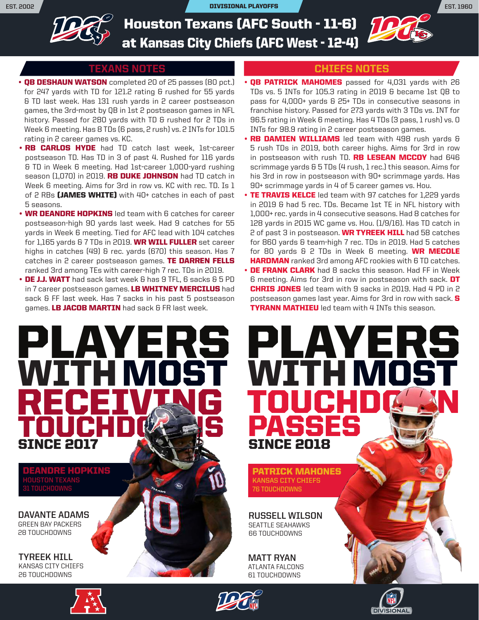**EST. 2002** DIVISIONAL PLAYOFFS **EST. 1960**



Houston Texans (AFC South - 11-6) at Kansas City Chiefs (AFC West - 12-4)

#### TEXANS NOTES

- **QB DESHAUN WATSON** completed 20 of 25 passes (80 pct.) for 247 yards with TD for 121.2 rating & rushed for 55 yards & TD last week. Has 131 rush yards in 2 career postseason games, the 3rd-most by QB in 1st 2 postseason games in NFL history. Passed for 280 yards with TD & rushed for 2 TDs in Week 6 meeting. Has 8 TDs (6 pass, 2 rush) vs. 2 INTs for 101.5 rating in 2 career games vs. KC.
- RB CARLOS HYDE had TD catch last week, 1st-career postseason TD. Has TD in 3 of past 4. Rushed for 116 yards & TD in Week 6 meeting. Had 1st-career 1,000-yard rushing season (1,070) in 2019. RB DUKE JOHNSON had TD catch in Week 6 meeting. Aims for 3rd in row vs. KC with rec. TD. Is 1 of 2 RBs (JAMES WHITE) with 40+ catches in each of past 5 seasons.
- **WR DEANDRE HOPKINS** led team with 6 catches for career postseason-high 90 yards last week. Had 9 catches for 55 yards in Week 6 meeting. Tied for AFC lead with 104 catches for 1,165 yards & 7 TDs in 2019. WR WILL FULLER set career highs in catches (49) & rec. yards (670) this season. Has 7 catches in 2 career postseason games. TE DARREN FELLS ranked 3rd among TEs with career-high 7 rec. TDs in 2019.
- DE J.J. WATT had sack last week & has 9 TFL, 6 sacks & 5 PD in 7 career postseason games. LB WHITNEY MERCILUS had sack & FF last week. Has 7 sacks in his past 5 postseason games. LB JACOB MARTIN had sack & FR last week.



DEANDRE HOPKINS **HOUSTON TEXANS 31 TOUCHDOWNS**

**DAVANTE ADAMS** GREEN BAY PACKERS 28 TOUCHDOWNS

**TYREEK HILL** KANSAS CITY CHIEFS 26 TOUCHDOWNS





#### CHIEFS NOTES

- **QB PATRICK MAHOMES** passed for 4,031 yards with 26 TDs vs. 5 INTs for 105.3 rating in 2019 & became 1st QB to pass for 4,000+ yards & 25+ TDs in consecutive seasons in franchise history. Passed for 273 yards with 3 TDs vs. INT for 96.5 rating in Week 6 meeting. Has 4 TDs (3 pass, 1 rush) vs. 0 INTs for 98.9 rating in 2 career postseason games.
- RB DAMIEN WILLIAMS led team with 498 rush yards & 5 rush TDs in 2019, both career highs. Aims for 3rd in row in postseason with rush TD. RB LESEAN MCCOY had 646 scrimmage yards & 5 TDs (4 rush, 1 rec.) this season. Aims for his 3rd in row in postseason with 90+ scrimmage yards. Has 90+ scrimmage yards in 4 of 5 career games vs. Hou.
- TE TRAVIS KELCE led team with 97 catches for 1,229 yards in 2019 & had 5 rec. TDs. Became 1st TE in NFL history with 1,000+ rec. yards in 4 consecutive seasons. Had 8 catches for 128 yards in 2015 WC game vs. Hou. (1/9/16). Has TD catch in 2 of past 3 in postseason. WR TYREEK HILL had 58 catches for 860 yards & team-high 7 rec. TDs in 2019. Had 5 catches for 80 yards & 2 TDs in Week 6 meeting. WR MECOLE **HARDMAN** ranked 3rd among AFC rookies with 6 TD catches.
- DE FRANK CLARK had 8 sacks this season. Had FF in Week 6 meeting. Aims for 3rd in row in postseason with sack. DT **CHRIS JONES** led team with 9 sacks in 2019. Had 4 PD in 2 postseason games last year. Aims for 3rd in row with sack. S **TYRANN MATHIEU** led team with 4 INTs this season.



**DIVISIONAL** 

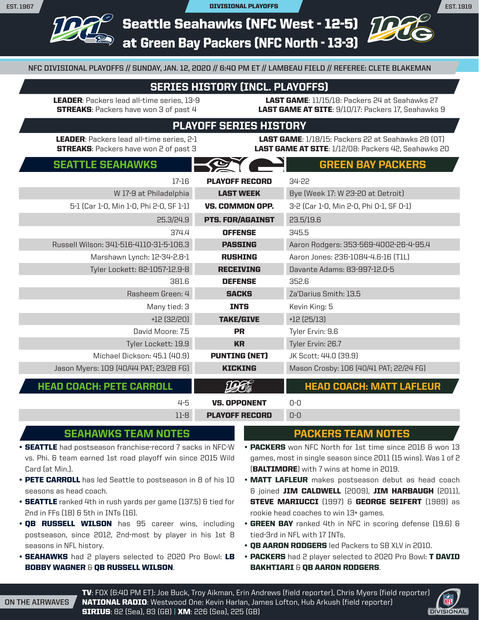**EST. 1919**

Seattle Seahawks (NFC West - 12-5) at Green Bay Packers (NFC North - 13-3)

**NFC DIVISIONAL PLAYOFFS // SUNDAY, JAN. 12, 2020 // 6:40 PM ET // LAMBEAU FIELD // REFEREE: CLETE BLAKEMAN**

### SERIES HISTORY (INCL. PLAYOFFS)

LEADER: Packers lead all-time series, 13-9 **STREAKS:** Packers have won 3 of past 4

LAST GAME: 11/15/18: Packers 24 at Seahawks 27 LAST GAME AT SITE: 9/10/17: Packers 17, Seahawks 9

### PLAYOFF SERIES HISTORY

LEADER: Packers lead all-time series, 2-1 **STREAKS:** Packers have won 2 of past 3

**LAST GAME:** 1/18/15: Packers 22 at Seahawks 28 (OT) LAST GAME AT SITE: 1/12/08: Packers 42, Seahawks 20

| <b>SEATTLE SEAHAWKS</b>                                    | <b>GREEN BAY PACKERS</b>                |
|------------------------------------------------------------|-----------------------------------------|
| $17 - 16$<br><b>PLAYOFF RECORD</b>                         | 34-22                                   |
| <b>LAST WEEK</b><br>W 17-9 at Philadelphia                 | Bye (Week 17: W 23-20 at Detroit)       |
| 5-1 (Car 1-0, Min 1-0, Phi 2-0, SF 1-1)<br>VS. COMMON OPP. | 3-2 (Car 1-0, Min 2-0, Phi 0-1, SF 0-1) |
| 25.3/24.9<br><b>PTS. FOR/AGAINST</b>                       | 23.5/19.6                               |
| 374.4<br><b>OFFENSE</b>                                    | 345.5                                   |
| Russell Wilson: 341-516-4110-31-5-106.3<br><b>PASSING</b>  | Aaron Rodgers: 353-569-4002-26-4-95.4   |
| Marshawn Lynch: 12-34-2.8-1<br><b>RUSHING</b>              | Aaron Jones: 236-1084-4.6-16 (T1L)      |
| Tyler Lockett: 82-1057-12.9-8<br><b>RECEIVING</b>          | Davante Adams: 83-997-12.0-5            |
| 381.6<br><b>DEFENSE</b>                                    | 352.6                                   |
| Rasheem Green: 4<br><b>SACKS</b>                           | Za'Darius Smith: 13.5                   |
| Many tied: 3<br><b>INTS</b>                                | Kevin King: 5                           |
| $+12(32/20)$<br><b>TAKE/GIVE</b>                           | $+12(25/13)$                            |
| David Moore: 7.5<br><b>PR</b>                              | Tyler Ervin: 9.6                        |
| Tyler Lockett: 19.9<br><b>KR</b>                           | Tyler Ervin: 26.7                       |
| Michael Dickson: 45.1 (40.9)<br><b>PUNTING (NET)</b>       | JK Scott: 44.0 (39.9)                   |
| Jason Myers: 109 (40/44 PAT; 23/28 FG)<br><b>KICKING</b>   | Mason Crosby: 106 (40/41 PAT; 22/24 FG) |
| <b>HEAD COACH: PETE CARROLL</b>                            | <b>HEAD COACH: MATT LAFLEUR</b>         |
| $4 - 5$<br><b>VS. OPPONENT</b>                             | $0 - 0$                                 |
| $11-8$<br><b>PLAYOFF RECORD</b>                            | $0 - 0$                                 |

# SEAHAWKS TEAM NOTES

- **SEATTLE** had postseason franchise-record 7 sacks in NFC-W vs. Phi. & team earned 1st road playoff win since 2015 Wild Card (at Min.).
- PETE CARROLL has led Seattle to postseason in 8 of his 10 seasons as head coach.
- **SEATTLE** ranked 4th in rush yards per game (137.5) & tied for 2nd in FFs (18) & 5th in INTs (16).
- **QB RUSSELL WILSON** has 95 career wins, including postseason, since 2012, 2nd-most by player in his 1st 8 seasons in NFL history.
- SEAHAWKS had 2 players selected to 2020 Pro Bowl: LB BOBBY WAGNER & QB RUSSELL WILSON.

#### PACKERS TEAM NOTES

• PACKERS won NFC North for 1st time since 2016 & won 13 games, most in single season since 2011 (15 wins). Was 1 of 2 (BALTIMORE) with 7 wins at home in 2019.

- **MATT LAFLEUR** makes postseason debut as head coach & joined JIM CALDWELL (2009), JIM HARBAUGH (2011), **STEVE MARIUCCI** (1997) & GEORGE SEIFERT (1989) as rookie head coaches to win 13+ games.
- GREEN BAY ranked 4th in NFC in scoring defense (19.6) & tied-3rd in NFL with 17 INTs.
- OB AARON RODGERS led Packers to SB XLV in 2010.
- PACKERS had 2 player selected to 2020 Pro Bowl: T DAVID BAKHTIARI & QB AARON RODGERS.